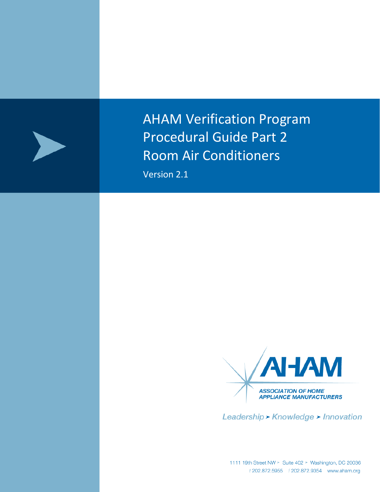

AHAM Verification Program Procedural Guide Part 2 Room Air Conditioners

Version 2.1



Leadership > Knowledge > Innovation

1111 19th Street NW > Suite 402 > Washington, DC 20036<br>*t* 202.872.5955 *f* 202.872.9354 www.aham.org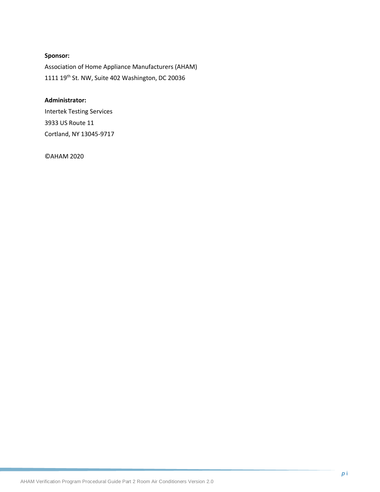## **Sponsor:**

Association of Home Appliance Manufacturers (AHAM) 1111 19th St. NW, Suite 402 Washington, DC 20036

#### **Administrator:**

Intertek Testing Services 3933 US Route 11 Cortland, NY 13045-9717

©AHAM 2020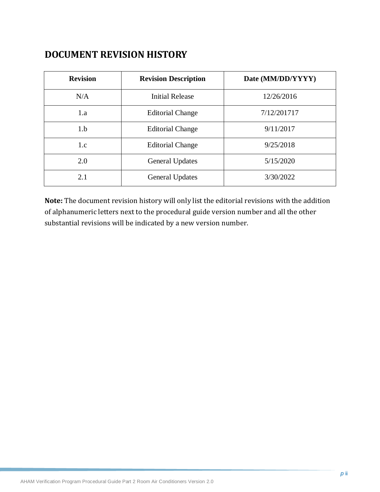# **DOCUMENT REVISION HISTORY**

| <b>Revision</b> | <b>Revision Description</b> | Date (MM/DD/YYYY) |
|-----------------|-----------------------------|-------------------|
| N/A             | <b>Initial Release</b>      | 12/26/2016        |
| 1.a             | <b>Editorial Change</b>     | 7/12/201717       |
| 1.b             | <b>Editorial Change</b>     | 9/11/2017         |
| 1.c             | <b>Editorial Change</b>     | 9/25/2018         |
| 2.0             | <b>General Updates</b>      | 5/15/2020         |
| 2.1             | <b>General Updates</b>      | 3/30/2022         |

**Note:** The document revision history will only list the editorial revisions with the addition of alphanumeric letters next to the procedural guide version number and all the other substantial revisions will be indicated by a new version number.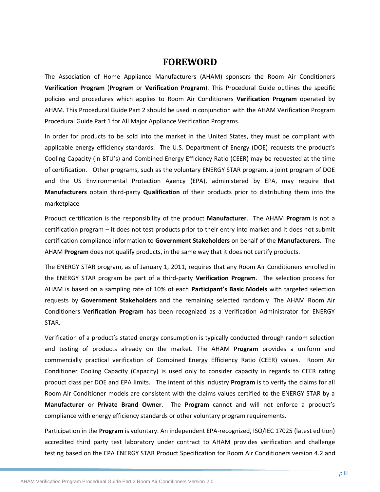## **FOREWORD**

The Association of Home Appliance Manufacturers (AHAM) sponsors the Room Air Conditioners **Verification Program** (**Program** or **Verification Program**). This Procedural Guide outlines the specific policies and procedures which applies to Room Air Conditioners **Verification Program** operated by AHAM. This Procedural Guide Part 2 should be used in conjunction with the AHAM Verification Program Procedural Guide Part 1 for All Major Appliance Verification Programs.

In order for products to be sold into the market in the United States, they must be compliant with applicable energy efficiency standards. The U.S. Department of Energy (DOE) requests the product's Cooling Capacity (in BTU's) and Combined Energy Efficiency Ratio (CEER) may be requested at the time of certification. Other programs, such as the voluntary ENERGY STAR program, a joint program of DOE and the US Environmental Protection Agency (EPA), administered by EPA, may require that **Manufacturers** obtain third-party **Qualification** of their products prior to distributing them into the marketplace

Product certification is the responsibility of the product **Manufacturer**. The AHAM **Program** is not a certification program – it does not test products prior to their entry into market and it does not submit certification compliance information to **Government Stakeholders** on behalf of the **Manufacturers**. The AHAM **Program** does not qualify products, in the same way that it does not certify products.

The ENERGY STAR program, as of January 1, 2011, requires that any Room Air Conditioners enrolled in the ENERGY STAR program be part of a third-party **Verification Program**. The selection process for AHAM is based on a sampling rate of 10% of each **Participant's Basic Models** with targeted selection requests by **Government Stakeholders** and the remaining selected randomly. The AHAM Room Air Conditioners **Verification Program** has been recognized as a Verification Administrator for ENERGY STAR.

Verification of a product's stated energy consumption is typically conducted through random selection and testing of products already on the market. The AHAM **Program** provides a uniform and commercially practical verification of Combined Energy Efficiency Ratio (CEER) values. Room Air Conditioner Cooling Capacity (Capacity) is used only to consider capacity in regards to CEER rating product class per DOE and EPA limits. The intent of this industry **Program** is to verify the claims for all Room Air Conditioner models are consistent with the claims values certified to the ENERGY STAR by a **Manufacturer** or **Private Brand Owner**. The **Program** cannot and will not enforce a product's compliance with energy efficiency standards or other voluntary program requirements.

Participation in the **Program** is voluntary. An independent EPA-recognized, ISO/IEC 17025 (latest edition) accredited third party test laboratory under contract to AHAM provides verification and challenge testing based on the EPA ENERGY STAR Product Specification for Room Air Conditioners version 4.2 and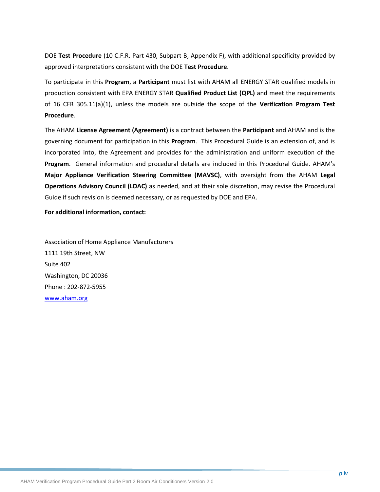DOE **Test Procedure** (10 C.F.R. Part 430, Subpart B, Appendix F), with additional specificity provided by approved interpretations consistent with the DOE **Test Procedure**.

To participate in this **Program**, a **Participant** must list with AHAM all ENERGY STAR qualified models in production consistent with EPA ENERGY STAR **Qualified Product List (QPL)** and meet the requirements of 16 CFR 305.11(a)(1), unless the models are outside the scope of the **Verification Program Test Procedure**.

The AHAM **License Agreement (Agreement)** is a contract between the **Participant** and AHAM and is the governing document for participation in this **Program**. This Procedural Guide is an extension of, and is incorporated into, the Agreement and provides for the administration and uniform execution of the **Program**. General information and procedural details are included in this Procedural Guide. AHAM's **Major Appliance Verification Steering Committee (MAVSC)**, with oversight from the AHAM **Legal Operations Advisory Council (LOAC)** as needed, and at their sole discretion, may revise the Procedural Guide if such revision is deemed necessary, or as requested by DOE and EPA.

#### **For additional information, contact:**

Association of Home Appliance Manufacturers 1111 19th Street, NW Suite 402 Washington, DC 20036 Phone : 202-872-5955 [www.aham.org](http://www.info.org/)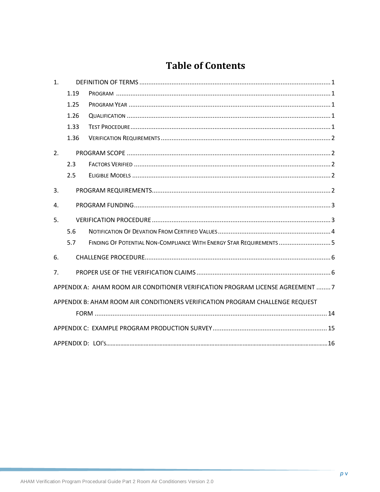# **Table of Contents**

| 1 <sub>1</sub> |      |                                                                                 |
|----------------|------|---------------------------------------------------------------------------------|
|                | 1.19 |                                                                                 |
|                | 1.25 |                                                                                 |
|                | 1.26 |                                                                                 |
|                | 1.33 |                                                                                 |
|                | 1.36 |                                                                                 |
| 2.             |      |                                                                                 |
|                | 2.3  |                                                                                 |
|                | 2.5  |                                                                                 |
| 3.             |      |                                                                                 |
| 4.             |      |                                                                                 |
| 5.             |      |                                                                                 |
|                | 5.6  |                                                                                 |
|                | 5.7  | FINDING OF POTENTIAL NON-COMPLIANCE WITH ENERGY STAR REQUIREMENTS  5            |
| 6.             |      |                                                                                 |
| 7 <sub>1</sub> |      |                                                                                 |
|                |      | APPENDIX A: AHAM ROOM AIR CONDITIONER VERIFICATION PROGRAM LICENSE AGREEMENT  7 |
|                |      | APPENDIX B: AHAM ROOM AIR CONDITIONERS VERIFICATION PROGRAM CHALLENGE REQUEST   |
|                |      |                                                                                 |
|                |      |                                                                                 |
|                |      |                                                                                 |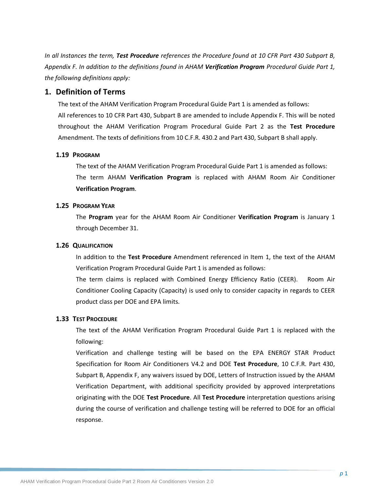*In all Instances the term, Test Procedure references the Procedure found at 10 CFR Part 430 Subpart B, Appendix F. In addition to the definitions found in AHAM Verification Program Procedural Guide Part 1, the following definitions apply:*

### <span id="page-6-0"></span>**1. Definition of Terms**

The text of the AHAM Verification Program Procedural Guide Part 1 is amended as follows: All references to 10 CFR Part 430, Subpart B are amended to include Appendix F. This will be noted throughout the AHAM Verification Program Procedural Guide Part 2 as the **Test Procedure** Amendment. The texts of definitions from 10 C.F.R. 430.2 and Part 430, Subpart B shall apply.

#### <span id="page-6-1"></span>**1.19 PROGRAM**

The text of the AHAM Verification Program Procedural Guide Part 1 is amended as follows: The term AHAM **Verification Program** is replaced with AHAM Room Air Conditioner **Verification Program**.

#### <span id="page-6-2"></span>**1.25 PROGRAM YEAR**

The **Program** year for the AHAM Room Air Conditioner **Verification Program** is January 1 through December 31.

#### <span id="page-6-3"></span>**1.26 QUALIFICATION**

In addition to the **Test Procedure** Amendment referenced in Item 1, the text of the AHAM Verification Program Procedural Guide Part 1 is amended as follows:

The term claims is replaced with Combined Energy Efficiency Ratio (CEER). Room Air Conditioner Cooling Capacity (Capacity) is used only to consider capacity in regards to CEER product class per DOE and EPA limits.

#### <span id="page-6-4"></span>**1.33 TEST PROCEDURE**

The text of the AHAM Verification Program Procedural Guide Part 1 is replaced with the following:

Verification and challenge testing will be based on the EPA ENERGY STAR Product Specification for Room Air Conditioners V4.2 and DOE **Test Procedure**, 10 C.F.R. Part 430, Subpart B, Appendix F, any waivers issued by DOE, Letters of Instruction issued by the AHAM Verification Department, with additional specificity provided by approved interpretations originating with the DOE **Test Procedure**. All **Test Procedure** interpretation questions arising during the course of verification and challenge testing will be referred to DOE for an official response.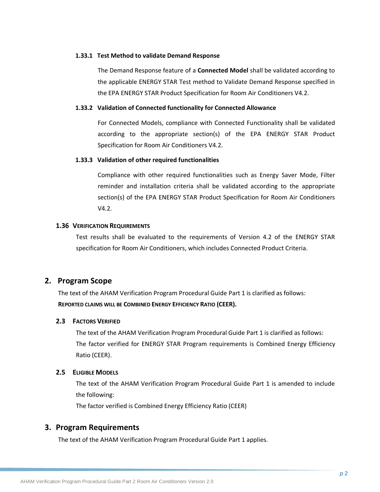#### **1.33.1 Test Method to validate Demand Response**

The Demand Response feature of a **Connected Model** shall be validated according to the applicable ENERGY STAR Test method to Validate Demand Response specified in the EPA ENERGY STAR Product Specification for Room Air Conditioners V4.2.

#### **1.33.2 Validation of Connected functionality for Connected Allowance**

For Connected Models, compliance with Connected Functionality shall be validated according to the appropriate section(s) of the EPA ENERGY STAR Product Specification for Room Air Conditioners V4.2.

#### **1.33.3 Validation of other required functionalities**

Compliance with other required functionalities such as Energy Saver Mode, Filter reminder and installation criteria shall be validated according to the appropriate section(s) of the EPA ENERGY STAR Product Specification for Room Air Conditioners V4.2.

#### <span id="page-7-0"></span>**1.36 VERIFICATION REQUIREMENTS**

Test results shall be evaluated to the requirements of Version 4.2 of the ENERGY STAR specification for Room Air Conditioners, which includes Connected Product Criteria.

### <span id="page-7-1"></span>**2. Program Scope**

The text of the AHAM Verification Program Procedural Guide Part 1 is clarified as follows: **REPORTED CLAIMS WILL BE COMBINED ENERGY EFFICIENCY RATIO (CEER).**

#### <span id="page-7-2"></span>**2.3 FACTORS VERIFIED**

The text of the AHAM Verification Program Procedural Guide Part 1 is clarified as follows: The factor verified for ENERGY STAR Program requirements is Combined Energy Efficiency Ratio (CEER).

#### <span id="page-7-3"></span>**2.5 ELIGIBLE MODELS**

The text of the AHAM Verification Program Procedural Guide Part 1 is amended to include the following:

The factor verified is Combined Energy Efficiency Ratio (CEER)

### <span id="page-7-4"></span>**3. Program Requirements**

The text of the AHAM Verification Program Procedural Guide Part 1 applies.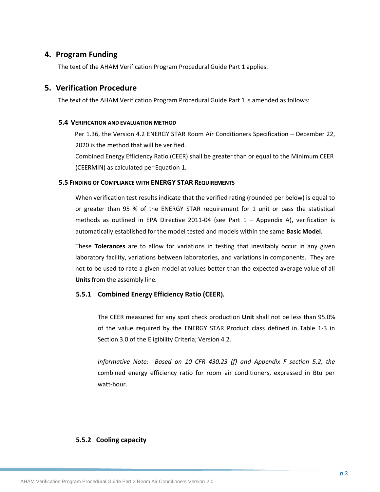## <span id="page-8-0"></span>**4. Program Funding**

The text of the AHAM Verification Program Procedural Guide Part 1 applies.

## <span id="page-8-1"></span>**5. Verification Procedure**

The text of the AHAM Verification Program Procedural Guide Part 1 is amended as follows:

#### **5.4 VERIFICATION AND EVALUATION METHOD**

Per 1.36, the Version 4.2 ENERGY STAR Room Air Conditioners Specification – December 22, 2020 is the method that will be verified.

Combined Energy Efficiency Ratio (CEER) shall be greater than or equal to the Minimum CEER (CEERMIN) as calculated per Equation 1.

#### **5.5 FINDING OF COMPLIANCE WITH ENERGY STAR REQUIREMENTS**

When verification test results indicate that the verified rating (rounded per below) is equal to or greater than 95 % of the ENERGY STAR requirement for 1 unit or pass the statistical methods as outlined in EPA Directive 2011-04 (see Part  $1 -$  Appendix A), verification is automatically established for the model tested and models within the same **Basic Model**.

These **Tolerances** are to allow for variations in testing that inevitably occur in any given laboratory facility, variations between laboratories, and variations in components. They are not to be used to rate a given model at values better than the expected average value of all **Units** from the assembly line.

### **5.5.1 Combined Energy Efficiency Ratio (CEER).**

The CEER measured for any spot check production **Unit** shall not be less than 95.0% of the value **r**equired by the ENERGY STAR Product class defined in Table 1-3 in Section 3.0 of the Eligibility Criteria; Version 4.2.

*Informative Note: Based on 10 CFR 430.23 (f) and Appendix F section 5.2, the*  combined energy efficiency ratio for room air conditioners, expressed in Btu per watt-hour.

### **5.5.2 Cooling capacity**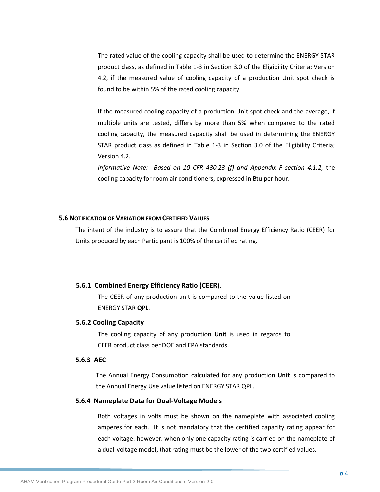The rated value of the cooling capacity shall be used to determine the ENERGY STAR product class, as defined in Table 1-3 in Section 3.0 of the Eligibility Criteria; Version 4.2, if the measured value of cooling capacity of a production Unit spot check is found to be within 5% of the rated cooling capacity.

If the measured cooling capacity of a production Unit spot check and the average, if multiple units are tested, differs by more than 5% when compared to the rated cooling capacity, the measured capacity shall be used in determining the ENERGY STAR product class as defined in Table 1-3 in Section 3.0 of the Eligibility Criteria; Version 4.2.

*Informative Note: Based on 10 CFR 430.23 (f) and Appendix F section 4.1.2,* the cooling capacity for room air conditioners, expressed in Btu per hour.

#### <span id="page-9-0"></span>**5.6 NOTIFICATION OF VARIATION FROM CERTIFIED VALUES**

The intent of the industry is to assure that the Combined Energy Efficiency Ratio (CEER) for Units produced by each Participant is 100% of the certified rating.

#### **5.6.1 Combined Energy Efficiency Ratio (CEER).**

The CEER of any production unit is compared to the value listed on ENERGY STAR **QPL**.

#### **5.6.2 Cooling Capacity**

The cooling capacity of any production **Unit** is used in regards to CEER product class per DOE and EPA standards.

### **5.6.3 AEC**

The Annual Energy Consumption calculated for any production **Unit** is compared to the Annual Energy Use value listed on ENERGY STAR QPL.

#### **5.6.4 Nameplate Data for Dual-Voltage Models**

Both voltages in volts must be shown on the nameplate with associated cooling amperes for each. It is not mandatory that the certified capacity rating appear for each voltage; however, when only one capacity rating is carried on the nameplate of a dual-voltage model, that rating must be the lower of the two certified values.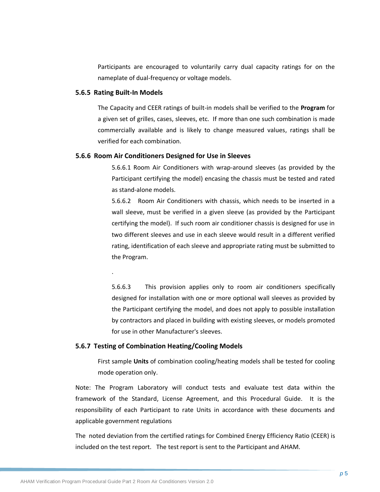Participants are encouraged to voluntarily carry dual capacity ratings for on the nameplate of dual-frequency or voltage models.

#### **5.6.5 Rating Built-In Models**

.

The Capacity and CEER ratings of built-in models shall be verified to the **Program** for a given set of grilles, cases, sleeves, etc. If more than one such combination is made commercially available and is likely to change measured values, ratings shall be verified for each combination.

#### **5.6.6 Room Air Conditioners Designed for Use in Sleeves**

5.6.6.1 Room Air Conditioners with wrap-around sleeves (as provided by the Participant certifying the model) encasing the chassis must be tested and rated as stand-alone models.

5.6.6.2 Room Air Conditioners with chassis, which needs to be inserted in a wall sleeve, must be verified in a given sleeve (as provided by the Participant certifying the model). If such room air conditioner chassis is designed for use in two different sleeves and use in each sleeve would result in a different verified rating, identification of each sleeve and appropriate rating must be submitted to the Program.

5.6.6.3 This provision applies only to room air conditioners specifically designed for installation with one or more optional wall sleeves as provided by the Participant certifying the model, and does not apply to possible installation by contractors and placed in building with existing sleeves, or models promoted for use in other Manufacturer's sleeves.

#### **5.6.7 Testing of Combination Heating/Cooling Models**

First sample **Units** of combination cooling/heating models shall be tested for cooling mode operation only.

Note: The Program Laboratory will conduct tests and evaluate test data within the framework of the Standard, License Agreement, and this Procedural Guide. It is the responsibility of each Participant to rate Units in accordance with these documents and applicable government regulations

The noted deviation from the certified ratings for Combined Energy Efficiency Ratio (CEER) is included on the test report. The test report is sent to the Participant and AHAM.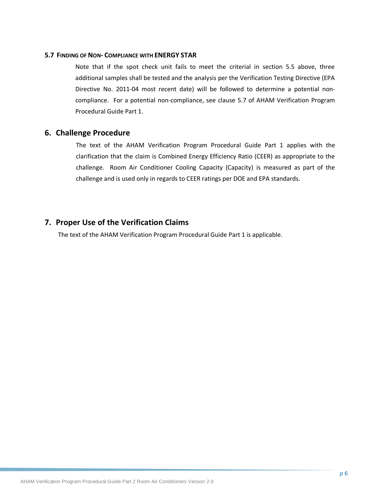#### **5.7 FINDING OF NON- COMPLIANCE WITH ENERGY STAR**

Note that if the spot check unit fails to meet the criterial in section 5.5 above, three additional samples shall be tested and the analysis per the Verification Testing Directive (EPA Directive No. 2011-04 most recent date) will be followed to determine a potential noncompliance. For a potential non-compliance, see clause 5.7 of AHAM Verification Program Procedural Guide Part 1.

## <span id="page-11-0"></span>**6. Challenge Procedure**

The text of the AHAM Verification Program Procedural Guide Part 1 applies with the clarification that the claim is Combined Energy Efficiency Ratio (CEER) as appropriate to the challenge. Room Air Conditioner Cooling Capacity (Capacity) is measured as part of the challenge and is used only in regards to CEER ratings per DOE and EPA standards.

## <span id="page-11-1"></span>**7. Proper Use of the Verification Claims**

The text of the AHAM Verification Program Procedural Guide Part 1 is applicable.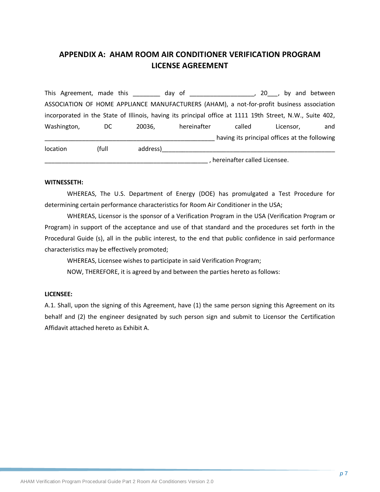## <span id="page-12-0"></span>**APPENDIX A: AHAM ROOM AIR CONDITIONER VERIFICATION PROGRAM LICENSE AGREEMENT**

This Agreement, made this this day of the set of the set of the set of the set of the set of the set of the set o ASSOCIATION OF HOME APPLIANCE MANUFACTURERS (AHAM), a not-for-profit business association incorporated in the State of Illinois, having its principal office at 1111 19th Street, N.W., Suite 402, Washington, DC 20036, hereinafter called Licensor, and \_\_\_\_\_\_\_\_\_\_\_\_\_\_\_\_\_\_\_\_\_\_\_\_\_\_\_\_\_\_\_\_\_\_\_\_\_\_\_\_\_\_\_\_\_\_\_\_\_\_ having its principal offices at the following location (full address)\_\_\_\_\_\_\_\_\_\_\_\_\_\_\_\_\_\_\_\_\_\_\_\_\_\_\_\_\_\_\_\_\_\_\_\_\_\_\_\_\_\_\_\_\_\_\_\_\_\_\_

\_\_\_\_\_\_\_\_\_\_\_\_\_\_\_\_\_\_\_\_\_\_\_\_\_\_\_\_\_\_\_\_\_\_\_\_\_\_\_\_\_\_\_\_\_\_\_\_ , hereinafter called Licensee.

#### **WITNESSETH:**

WHEREAS, The U.S. Department of Energy (DOE) has promulgated a Test Procedure for determining certain performance characteristics for Room Air Conditioner in the USA;

WHEREAS, Licensor is the sponsor of a Verification Program in the USA (Verification Program or Program) in support of the acceptance and use of that standard and the procedures set forth in the Procedural Guide (s), all in the public interest, to the end that public confidence in said performance characteristics may be effectively promoted;

WHEREAS, Licensee wishes to participate in said Verification Program;

NOW, THEREFORE, it is agreed by and between the parties hereto as follows:

### **LICENSEE:**

A.1. Shall, upon the signing of this Agreement, have (1) the same person signing this Agreement on its behalf and (2) the engineer designated by such person sign and submit to Licensor the Certification Affidavit attached hereto as Exhibit A.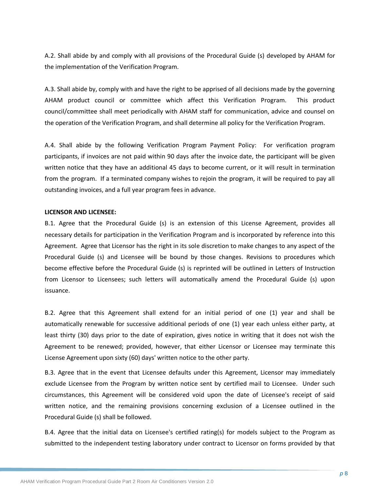A.2. Shall abide by and comply with all provisions of the Procedural Guide (s) developed by AHAM for the implementation of the Verification Program.

A.3. Shall abide by, comply with and have the right to be apprised of all decisions made by the governing AHAM product council or committee which affect this Verification Program. This product council/committee shall meet periodically with AHAM staff for communication, advice and counsel on the operation of the Verification Program, and shall determine all policy for the Verification Program.

A.4. Shall abide by the following Verification Program Payment Policy: For verification program participants, if invoices are not paid within 90 days after the invoice date, the participant will be given written notice that they have an additional 45 days to become current, or it will result in termination from the program. If a terminated company wishes to rejoin the program, it will be required to pay all outstanding invoices, and a full year program fees in advance.

#### **LICENSOR AND LICENSEE:**

B.1. Agree that the Procedural Guide (s) is an extension of this License Agreement, provides all necessary details for participation in the Verification Program and is incorporated by reference into this Agreement. Agree that Licensor has the right in its sole discretion to make changes to any aspect of the Procedural Guide (s) and Licensee will be bound by those changes. Revisions to procedures which become effective before the Procedural Guide (s) is reprinted will be outlined in Letters of Instruction from Licensor to Licensees; such letters will automatically amend the Procedural Guide (s) upon issuance.

B.2. Agree that this Agreement shall extend for an initial period of one (1) year and shall be automatically renewable for successive additional periods of one (1) year each unless either party, at least thirty (30) days prior to the date of expiration, gives notice in writing that it does not wish the Agreement to be renewed; provided, however, that either Licensor or Licensee may terminate this License Agreement upon sixty (60) days' written notice to the other party.

B.3. Agree that in the event that Licensee defaults under this Agreement, Licensor may immediately exclude Licensee from the Program by written notice sent by certified mail to Licensee. Under such circumstances, this Agreement will be considered void upon the date of Licensee's receipt of said written notice, and the remaining provisions concerning exclusion of a Licensee outlined in the Procedural Guide (s) shall be followed.

B.4. Agree that the initial data on Licensee's certified rating(s) for models subject to the Program as submitted to the independent testing laboratory under contract to Licensor on forms provided by that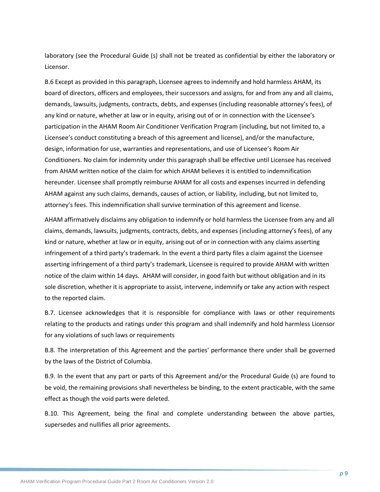laboratory (see the Procedural Guide (s) shall not be treated as confidential by either the laboratory or Licensor.

B.6 Except as provided in this paragraph, Licensee agrees to indemnify and hold harmless AHAM, its board of directors, officers and employees, their successors and assigns, for and from any and all claims, demands, lawsuits, judgments, contracts, debts, and expenses (including reasonable attorney's fees), of any kind or nature, whether at law or in equity, arising out of or in connection with the Licensee's participation in the AHAM Room Air Conditioner Verification Program (including, but not limited to, a Licensee's conduct constituting a breach of this agreement and license), and/or the manufacture, design, information for use, warranties and representations, and use of Licensee's Room Air Conditioners. No claim for indemnity under this paragraph shall be effective until Licensee has received from AHAM written notice of the claim for which AHAM believes it is entitled to indemnification hereunder. Licensee shall promptly reimburse AHAM for all costs and expenses incurred in defending AHAM against any such claims, demands, causes of action, or liability, including, but not limited to, attorney's fees. This indemnification shall survive termination of this agreement and license.

AHAM affirmatively disclaims any obligation to indemnify or hold harmless the Licensee from any and all claims, demands, lawsuits, judgments, contracts, debts, and expenses (including attorney's fees), of any kind or nature, whether at law or in equity, arising out of or in connection with any claims asserting infringement of a third party's trademark. In the event a third party files a claim against the Licensee asserting infringement of a third party's trademark, Licensee is required to provide AHAM with written notice of the claim within 14 days. AHAM will consider, in good faith but without obligation and in its sole discretion, whether it is appropriate to assist, intervene, indemnify or take any action with respect to the reported claim.

B.7. Licensee acknowledges that it is responsible for compliance with laws or other requirements relating to the products and ratings under this program and shall indemnify and hold harmless Licensor for any violations of such laws or requirements

B.8. The interpretation of this Agreement and the parties' performance there under shall be governed by the laws of the District of Columbia.

B.9. In the event that any part or parts of this Agreement and/or the Procedural Guide (s) are found to be void, the remaining provisions shall nevertheless be binding, to the extent practicable, with the same effect as though the void parts were deleted.

B.10. This Agreement, being the final and complete understanding between the above parties, supersedes and nullifies all prior agreements.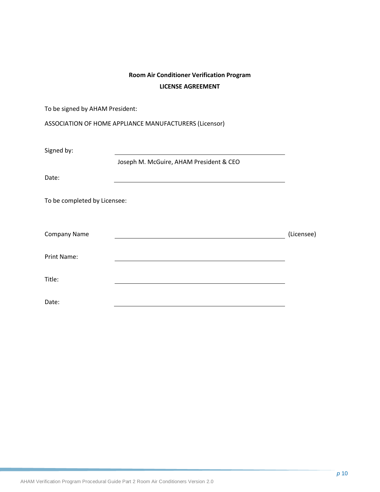## **Room Air Conditioner Verification Program LICENSE AGREEMENT**

| To be signed by AHAM President: |                                                        |            |
|---------------------------------|--------------------------------------------------------|------------|
|                                 | ASSOCIATION OF HOME APPLIANCE MANUFACTURERS (Licensor) |            |
| Signed by:                      |                                                        |            |
| Date:                           | Joseph M. McGuire, AHAM President & CEO                |            |
| To be completed by Licensee:    |                                                        |            |
| <b>Company Name</b>             |                                                        | (Licensee) |
| <b>Print Name:</b>              |                                                        |            |
| Title:                          |                                                        |            |
| Date:                           |                                                        |            |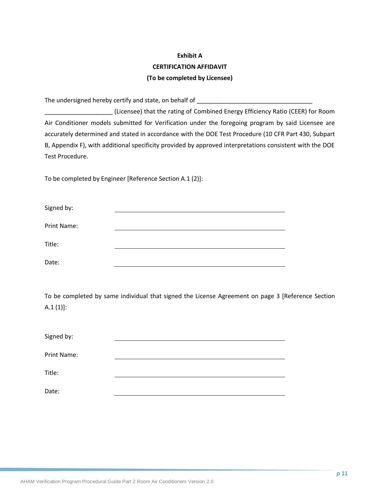## **Exhibit A CERTIFICATION AFFIDAVIT (To be completed by Licensee)**

The undersigned hereby certify and state, on behalf of \_\_\_\_\_\_\_\_\_\_\_\_\_\_\_\_\_\_\_\_\_\_\_\_\_

\_\_\_\_\_\_\_\_\_\_\_\_\_\_\_\_\_\_\_\_ (Licensee) that the rating of Combined Energy Efficiency Ratio (CEER) for Room Air Conditioner models submitted for Verification under the foregoing program by said Licensee are accurately determined and stated in accordance with the DOE Test Procedure (10 CFR Part 430, Subpart B, Appendix F), with additional specificity provided by approved interpretations consistent with the DOE Test Procedure.

To be completed by Engineer [Reference Section A.1 (2)]:

| Signed by:         |  |  |
|--------------------|--|--|
| <b>Print Name:</b> |  |  |
| Title:             |  |  |
| Date:              |  |  |

To be completed by same individual that signed the License Agreement on page 3 [Reference Section  $A.1 (1)$ :

| Signed by:         |  |
|--------------------|--|
| <b>Print Name:</b> |  |
| Title:             |  |
| Date:              |  |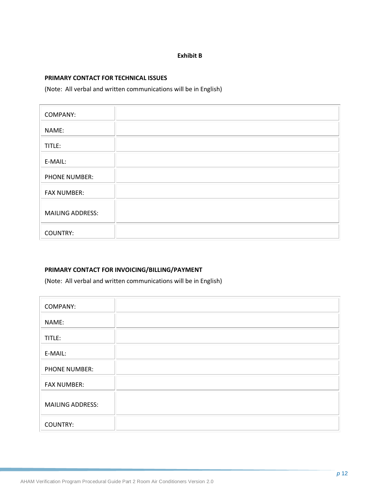### **Exhibit B**

#### **PRIMARY CONTACT FOR TECHNICAL ISSUES**

(Note: All verbal and written communications will be in English)

| <b>COMPANY:</b>         |  |
|-------------------------|--|
| NAME:                   |  |
| TITLE:                  |  |
| E-MAIL:                 |  |
| PHONE NUMBER:           |  |
| <b>FAX NUMBER:</b>      |  |
| <b>MAILING ADDRESS:</b> |  |
| <b>COUNTRY:</b>         |  |

### **PRIMARY CONTACT FOR INVOICING/BILLING/PAYMENT**

(Note: All verbal and written communications will be in English)

| <b>COMPANY:</b>         |  |
|-------------------------|--|
| NAME:                   |  |
| TITLE:                  |  |
| E-MAIL:                 |  |
| <b>PHONE NUMBER:</b>    |  |
| <b>FAX NUMBER:</b>      |  |
| <b>MAILING ADDRESS:</b> |  |
| <b>COUNTRY:</b>         |  |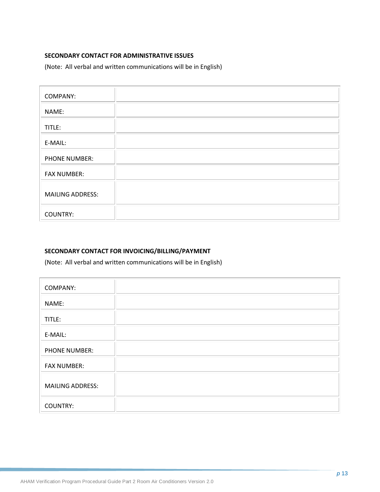### **SECONDARY CONTACT FOR ADMINISTRATIVE ISSUES**

(Note: All verbal and written communications will be in English)

| <b>COMPANY:</b>         |  |
|-------------------------|--|
| NAME:                   |  |
| TITLE:                  |  |
| E-MAIL:                 |  |
| PHONE NUMBER:           |  |
| <b>FAX NUMBER:</b>      |  |
| <b>MAILING ADDRESS:</b> |  |
| <b>COUNTRY:</b>         |  |

### **SECONDARY CONTACT FOR INVOICING/BILLING/PAYMENT**

(Note: All verbal and written communications will be in English)

| <b>COMPANY:</b>         |  |
|-------------------------|--|
| NAME:                   |  |
| TITLE:                  |  |
| E-MAIL:                 |  |
| <b>PHONE NUMBER:</b>    |  |
| <b>FAX NUMBER:</b>      |  |
| <b>MAILING ADDRESS:</b> |  |
| <b>COUNTRY:</b>         |  |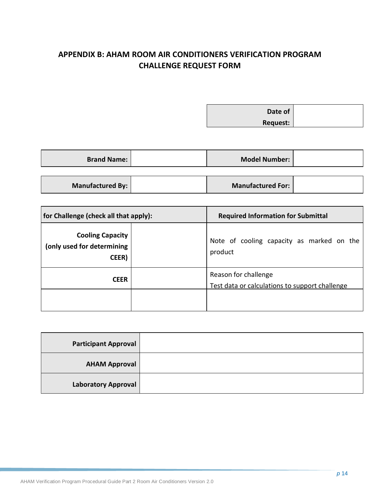## <span id="page-19-0"></span>**APPENDIX B: AHAM ROOM AIR CONDITIONERS VERIFICATION PROGRAM CHALLENGE REQUEST FORM**

**Date of Request:**

| <b>Brand Name:</b> | <b>Model Number:</b>     |  |
|--------------------|--------------------------|--|
|                    |                          |  |
| Manufactured By:   | <b>Manufactured For:</b> |  |

| for Challenge (check all that apply):                          |  | <b>Required Information for Submittal</b>                              |
|----------------------------------------------------------------|--|------------------------------------------------------------------------|
| <b>Cooling Capacity</b><br>(only used for determining<br>CEER) |  | Note of cooling capacity as marked on the<br>product                   |
| <b>CEER</b>                                                    |  | Reason for challenge<br>Test data or calculations to support challenge |
|                                                                |  |                                                                        |

| <b>Participant Approval</b> |  |
|-----------------------------|--|
| <b>AHAM Approval</b>        |  |
| <b>Laboratory Approval</b>  |  |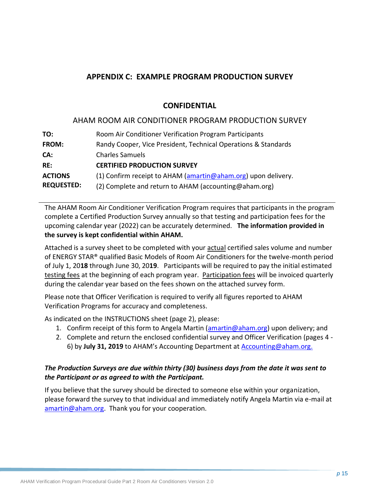## <span id="page-20-0"></span>**APPENDIX C: EXAMPLE PROGRAM PRODUCTION SURVEY**

## **CONFIDENTIAL**

## AHAM ROOM AIR CONDITIONER PROGRAM PRODUCTION SURVEY

| TO:               | Room Air Conditioner Verification Program Participants         |
|-------------------|----------------------------------------------------------------|
| <b>FROM:</b>      | Randy Cooper, Vice President, Technical Operations & Standards |
| CA:               | <b>Charles Samuels</b>                                         |
| RE:               | <b>CERTIFIED PRODUCTION SURVEY</b>                             |
| <b>ACTIONS</b>    | (1) Confirm receipt to AHAM (amartin@aham.org) upon delivery.  |
| <b>REQUESTED:</b> | (2) Complete and return to AHAM (accounting@aham.org)          |

The AHAM Room Air Conditioner Verification Program requires that participants in the program complete a Certified Production Survey annually so that testing and participation fees for the upcoming calendar year (2022) can be accurately determined. **The information provided in the survey is kept confidential within AHAM.** 

Attached is a survey sheet to be completed with your actual certified sales volume and number of ENERGY STAR® qualified Basic Models of Room Air Conditioners for the twelve-month period of July 1, 20**18** through June 30, 20**19**. Participants will be required to pay the initial estimated testing fees at the beginning of each program year. Participation fees will be invoiced quarterly during the calendar year based on the fees shown on the attached survey form.

Please note that Officer Verification is required to verify all figures reported to AHAM Verification Programs for accuracy and completeness.

As indicated on the INSTRUCTIONS sheet (page 2), please:

- 1. Confirm receipt of this form to Angela Martin [\(amartin@aham.org\)](mailto:jbibins@aham.org) upon delivery; and
- 2. Complete and return the enclosed confidential survey and Officer Verification (pages 4 6) by **July 31, 2019** to AHAM's Accounting Department at [Accounting@aham.org.](mailto:Accounting@aham.org)

## *The Production Surveys are due within thirty (30) business days from the date it was sent to the Participant or as agreed to with the Participant.*

If you believe that the survey should be directed to someone else within your organization, please forward the survey to that individual and immediately notify Angela Martin via e-mail at [amartin@aham.org.](mailto:jbibins@aham.org) Thank you for your cooperation.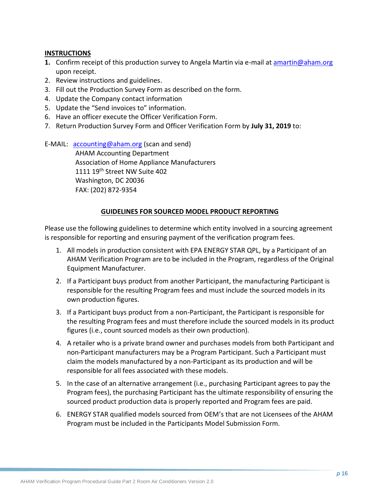### **INSTRUCTIONS**

- **1.** Confirm receipt of this production survey to Angela Martin via e-mail at [amartin@aham.org](mailto:jbibins@aham.org) upon receipt.
- 2. Review instructions and guidelines.
- 3. Fill out the Production Survey Form as described on the form.
- 4. Update the Company contact information
- 5. Update the "Send invoices to" information.
- 6. Have an officer execute the Officer Verification Form.
- 7. Return Production Survey Form and Officer Verification Form by **July 31, 2019** to:

E-MAIL: [accounting@aham.org](mailto:accounting@aham.org) (scan and send)

AHAM Accounting Department Association of Home Appliance Manufacturers 1111 19th Street NW Suite 402 Washington, DC 20036 FAX: (202) 872-9354

## **GUIDELINES FOR SOURCED MODEL PRODUCT REPORTING**

Please use the following guidelines to determine which entity involved in a sourcing agreement is responsible for reporting and ensuring payment of the verification program fees.

- 1. All models in production consistent with EPA ENERGY STAR QPL, by a Participant of an AHAM Verification Program are to be included in the Program, regardless of the Original Equipment Manufacturer.
- 2. If a Participant buys product from another Participant, the manufacturing Participant is responsible for the resulting Program fees and must include the sourced models in its own production figures.
- 3. If a Participant buys product from a non-Participant, the Participant is responsible for the resulting Program fees and must therefore include the sourced models in its product figures (i.e., count sourced models as their own production).
- 4. A retailer who is a private brand owner and purchases models from both Participant and non-Participant manufacturers may be a Program Participant. Such a Participant must claim the models manufactured by a non-Participant as its production and will be responsible for all fees associated with these models.
- 5. In the case of an alternative arrangement (i.e., purchasing Participant agrees to pay the Program fees), the purchasing Participant has the ultimate responsibility of ensuring the sourced product production data is properly reported and Program fees are paid.
- 6. ENERGY STAR qualified models sourced from OEM's that are not Licensees of the AHAM Program must be included in the Participants Model Submission Form.